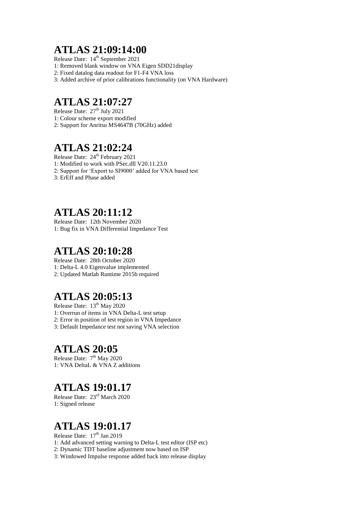#### **ATLAS 21:09:14:00**

Release Date:  $14<sup>th</sup>$  September 2021

1: Removed blank window on VNA Eigen SDD21display

2: Fixed datalog data readout for F1-F4 VNA loss

3: Added archive of prior calibrations functionality (on VNA Hardware)

## **ATLAS 21:07:27**

Release Date:  $27<sup>th</sup>$  July 2021 1: Colour scheme export modified 2: Support for Anritsu MS4647B (70GHz) added

# **ATLAS 21:02:24**

Release Date:  $24<sup>th</sup>$  February 2021 1: Modified to work with PSec.dll V20.11.23.0 2: Support for 'Export to SI9000' added for VNA based test

3: ErEff and Phase added

## **ATLAS 20:11:12**

Release Date: 12th November 2020 1: Bug fix in VNA Differential Impedance Test

# **ATLAS 20:10:28**

Release Date: 28th October 2020 1: Delta-L 4.0 Eigenvalue implemented 2: Updated Matlab Runtime 2015b required

# **ATLAS 20:05:13**

Release Date:  $13^{th}$  May 2020 1: Overrun of items in VNA Delta-L test setup 2: Error in position of test region in VNA Impedance

3: Default Impedance test not saving VNA selection

## **ATLAS 20:05**

Release Date:  $7<sup>th</sup>$  May 2020 1: VNA DeltaL & VNA Z additions

## **ATLAS 19:01.17**

Release Date: 23rd March 2020 1: Signed release

## **ATLAS 19:01.17**

Release Date:  $17<sup>th</sup>$  Jan 2019

- 1: Add advanced setting warning to Delta-L test editor (ISP etc)
- 2: Dynamic TDT baseline adjustment now based on ISP

3: Windowed Impulse response added back into release display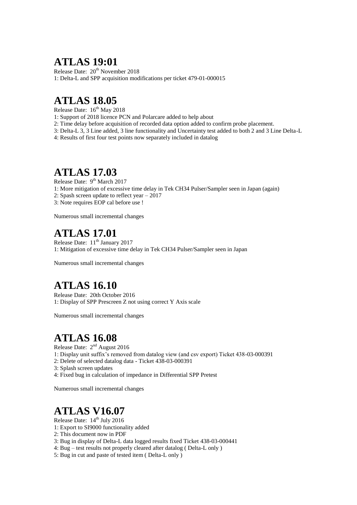#### **ATLAS 19:01**

Release Date: 20<sup>th</sup> November 2018 1: Delta-L and SPP acquisition modifications per ticket 479-01-000015

## **ATLAS 18.05**

Release Date:  $16^{th}$  May 2018

1: Support of 2018 licence PCN and Polarcare added to help about

- 2: Time delay before acquisition of recorded data option added to confirm probe placement.
- 3: Delta-L 3, 3 Line added, 3 line functionality and Uncertainty test added to both 2 and 3 Line Delta-L

4: Results of first four test points now separately included in datalog

#### **ATLAS 17.03**

Release Date: 9<sup>th</sup> March 2017

- 1: More mitigation of excessive time delay in Tek CH34 Pulser/Sampler seen in Japan (again)
- 2: Spash screen update to reflect year 2017
- 3: Note requires EOP cal before use !

Numerous small incremental changes

#### **ATLAS 17.01**

Release Date: 11<sup>th</sup> January 2017 1: Mitigation of excessive time delay in Tek CH34 Pulser/Sampler seen in Japan

Numerous small incremental changes

## **ATLAS 16.10**

Release Date: 20th October 2016 1: Display of SPP Prescreen Z not using correct Y Axis scale

Numerous small incremental changes

## **ATLAS 16.08**

Release Date:  $2<sup>nd</sup>$  August 2016

- 1: Display unit suffix's removed from datalog view (and csv export) Ticket 438-03-000391
- 2: Delete of selected datalog data Ticket 438-03-000391
- 3: Splash screen updates
- 4: Fixed bug in calculation of impedance in Differential SPP Pretest

Numerous small incremental changes

# **ATLAS V16.07**

Release Date:  $14<sup>th</sup>$  July 2016

- 1: Export to SI9000 functionality added
- 2: This document now in PDF
- 3: Bug in display of Delta-L data logged results fixed Ticket 438-03-000441
- 4: Bug test results not properly cleared after datalog ( Delta-L only )
- 5: Bug in cut and paste of tested item ( Delta-L only )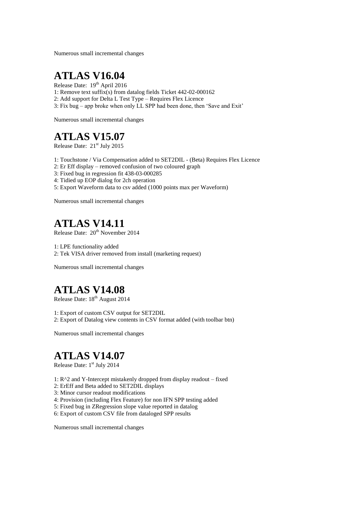Numerous small incremental changes

## **ATLAS V16.04**

Release Date: 19<sup>th</sup> April 2016

- 1: Remove text suffix(s) from datalog fields Ticket 442-02-000162
- 2: Add support for Delta L Test Type Requires Flex Licence
- 3: Fix bug app broke when only LL SPP had been done, then 'Save and Exit'

Numerous small incremental changes

## **ATLAS V15.07**

Release Date: 21<sup>st</sup> July 2015

- 1: Touchstone / Via Compensation added to SET2DIL (Beta) Requires Flex Licence
- 2: Er Eff display removed confusion of two coloured graph
- 3: Fixed bug in regression fit 438-03-000285
- 4: Tidied up EOP dialog for 2ch operation
- 5: Export Waveform data to csv added (1000 points max per Waveform)

Numerous small incremental changes

# **ATLAS V14.11**

Release Date:  $20^{th}$  November 2014

1: LPE functionality added

2: Tek VISA driver removed from install (marketing request)

Numerous small incremental changes

## **ATLAS V14.08**

Release Date:  $18<sup>th</sup>$  August 2014

1: Export of custom CSV output for SET2DIL 2: Export of Datalog view contents in CSV format added (with toolbar btn)

Numerous small incremental changes

## **ATLAS V14.07**

Release Date: 1<sup>st</sup> July 2014

- 1: R^2 and Y-Intercept mistakenly dropped from display readout fixed
- 2: ErEff and Beta added to SET2DIL displays
- 3: Minor cursor readout modifications
- 4: Provision (including Flex Feature) for non IFN SPP testing added
- 5: Fixed bug in ZRegression slope value reported in datalog
- 6: Export of custom CSV file from dataloged SPP results

Numerous small incremental changes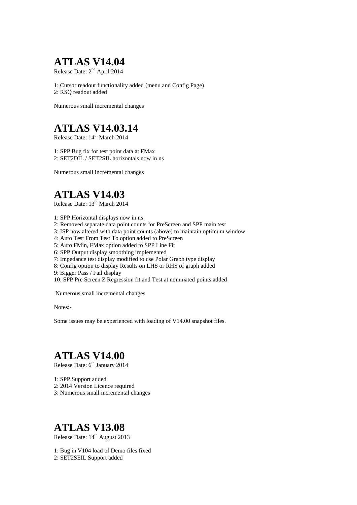# **ATLAS V14.04**

Release Date: 2<sup>nd</sup> April 2014

1: Cursor readout functionality added (menu and Config Page) 2: RSQ readout added

Numerous small incremental changes

## **ATLAS V14.03.14**

Release Date:  $14<sup>th</sup> March 2014$ 

1: SPP Bug fix for test point data at FMax 2: SET2DIL / SET2SIL horizontals now in ns

Numerous small incremental changes

## **ATLAS V14.03**

Release Date: 13<sup>th</sup> March 2014

- 1: SPP Horizontal displays now in ns
- 2: Removed separate data point counts for PreScreen and SPP main test
- 3: ISP now altered with data point counts (above) to maintain optimum window
- 4: Auto Test From Test To option added to PreScreen
- 5: Auto FMin, FMax option added to SPP Line Fit
- 6: SPP Output display smoothing implemented
- 7: Impedance test display modified to use Polar Graph type display
- 8: Config option to display Results on LHS or RHS of graph added
- 9: Bigger Pass / Fail display

10: SPP Pre Screen Z Regression fit and Test at nominated points added

Numerous small incremental changes

Notes:-

Some issues may be experienced with loading of V14.00 snapshot files.

# **ATLAS V14.00**

Release Date: 6<sup>th</sup> January 2014

- 1: SPP Support added
- 2: 2014 Version Licence required
- 3: Numerous small incremental changes

## **ATLAS V13.08**

Release Date: 14<sup>th</sup> August 2013

1: Bug in V104 load of Demo files fixed 2: SET2SEIL Support added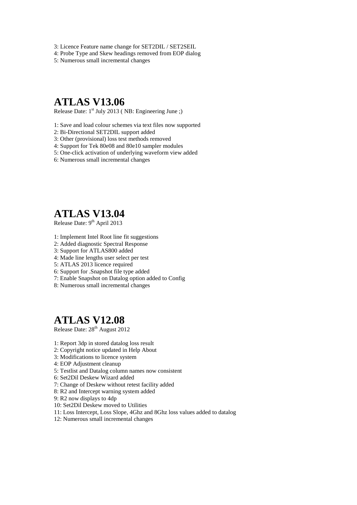- 3: Licence Feature name change for SET2DIL / SET2SEIL
- 4: Probe Type and Skew headings removed from EOP dialog

5: Numerous small incremental changes

#### **ATLAS V13.06**

Release Date: 1<sup>st</sup> July 2013 (NB: Engineering June;)

- 1: Save and load colour schemes via text files now supported
- 2: Bi-Directional SET2DIL support added
- 3: Other (provisional) loss test methods removed
- 4: Support for Tek 80e08 and 80e10 sampler modules
- 5: One-click activation of underlying waveform view added
- 6: Numerous small incremental changes

## **ATLAS V13.04**

Release Date: 9<sup>th</sup> April 2013

- 1: Implement Intel Root line fit suggestions
- 2: Added diagnostic Spectral Response
- 3: Support for ATLAS800 added
- 4: Made line lengths user select per test
- 5: ATLAS 2013 licence required
- 6: Support for .Snapshot file type added
- 7: Enable Snapshot on Datalog option added to Config
- 8: Numerous small incremental changes

#### **ATLAS V12.08**

Release Date:  $28<sup>th</sup>$  August 2012

- 1: Report 3dp in stored datalog loss result
- 2: Copyright notice updated in Help About
- 3: Modifications to licence system
- 4: EOP Adjustment cleanup
- 5: Testlist and Datalog column names now consistent
- 6: Set2Dil Deskew Wizard added
- 7: Change of Deskew without retest facility added
- 8: R2 and Intercept warning system added
- 9: R2 now displays to 4dp
- 10: Set2Dil Deskew moved to Utilities
- 11: Loss Intercept, Loss Slope, 4Ghz and 8Ghz loss values added to datalog
- 12: Numerous small incremental changes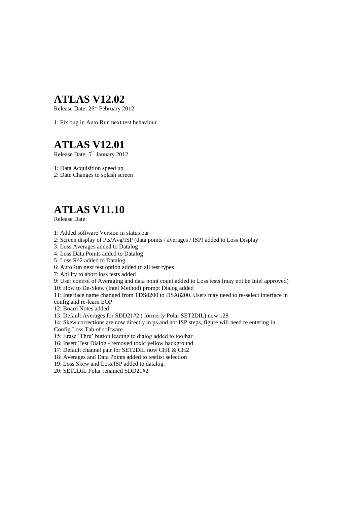#### **ATLAS V12.02**

Release Date:  $26<sup>th</sup>$  February 2012

1: Fix bug in Auto Run next test behaviour

## **ATLAS V12.01**

Release Date:  $5<sup>th</sup>$  January 2012

1: Data Acquisition speed up

2: Date Changes to splash screen

## **ATLAS V11.10**

Release Date:

- 1: Added software Version in status bar
- 2: Screen display of Pts/Avg/ISP (data points / averages / ISP) added to Loss Display
- 3: Loss.Averages added to Datalog
- 4: Loss.Data Points added to Datalog

5: Loss.R^2 added to Datalog

- 6: AutoRun next test option added to all test types
- 7: Ability to abort loss tests added

9: User control of Averaging and data point count added to Loss tests (may not be Intel approved)

10: How to De-Skew (Intel Method) prompt Dialog added

11: Interface name changed from TDS8200 to DSA8200. Users may need to re-select interface in config and re-learn EOP

12: Board Notes added

13: Default Averages for SDD21#2 ( formerly Polar SET2DIL) now 128

14: Skew corrections are now directly in ps and not ISP steps, figure will need re entering in Config.Loss Tab of software.

15: Erase 'Thru' button leading to dialog added to toolbar

16: Insert Test Dialog - removed toxic yellow background

17: Default channel pair for SET2DIL now CH1 & CH2

18: Averages and Data Points added to testlist selection

19: Loss.Skew and Loss.ISP added to datalog.

20: SET2DIL Polar renamed SDD21#2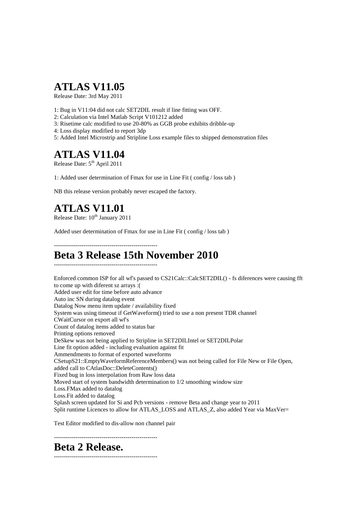## **ATLAS V11.05**

Release Date: 3rd May 2011

- 1: Bug in V11:04 did not calc SET2DIL result if line fitting was OFF.
- 2: Calculation via Intel Matlab Script V101212 added
- 3: Risetime calc modified to use 20-80% as GGB probe exhibits dribble-up
- 4: Loss display modified to report 3dp
- 5: Added Intel Microstrip and Stripline Loss example files to shipped demonstration files

#### **ATLAS V11.04**

Release Date:  $5^{th}$  April 2011

1: Added user determination of Fmax for use in Line Fit ( config / loss tab )

NB this release version probably never escaped the factory.

# **ATLAS V11.01**

Release Date:  $10^{th}$  January 2011

Added user determination of Fmax for use in Line Fit ( config / loss tab )

----------------------------------------------------

#### **Beta 3 Release 15th November 2010** ----------------------------------------------------

Enforced common ISP for all wf's passed to CS21Calc::CalcSET2DIL() - fs diferences were causing fft to come up with diferent sz arrays :( Added user edit for time before auto advance Auto inc SN during datalog event Datalog Now menu item update / availability fixed System was using timeout if GetWaveform() tried to use a non present TDR channel CWaitCursor on export all wf's Count of datalog items added to status bar Printing options removed DeSkew was not being applied to Stripline in SET2DILIntel or SET2DILPolar Line fit option added - including evaluation against fit Ammendments to format of exported waveforms CSetupS21::EmptyWaveformReferenceMembers() was not being called for File New or File Open, added call to CAtlasDoc::DeleteContents() Fixed bug in loss interpolation from Raw loss data Moved start of system bandwidth determination to 1/2 smoothing window size Loss.FMax added to datalog Loss.Fit added to datalog Splash screen updated for Si and Pcb versions - remove Beta and change year to 2011 Split runtime Licences to allow for ATLAS\_LOSS and ATLAS\_Z, also added Year via MaxVer=

Test Editor modified to dis-allow non channel pair

----------------------------------------------------

**Beta 2 Release.**

----------------------------------------------------